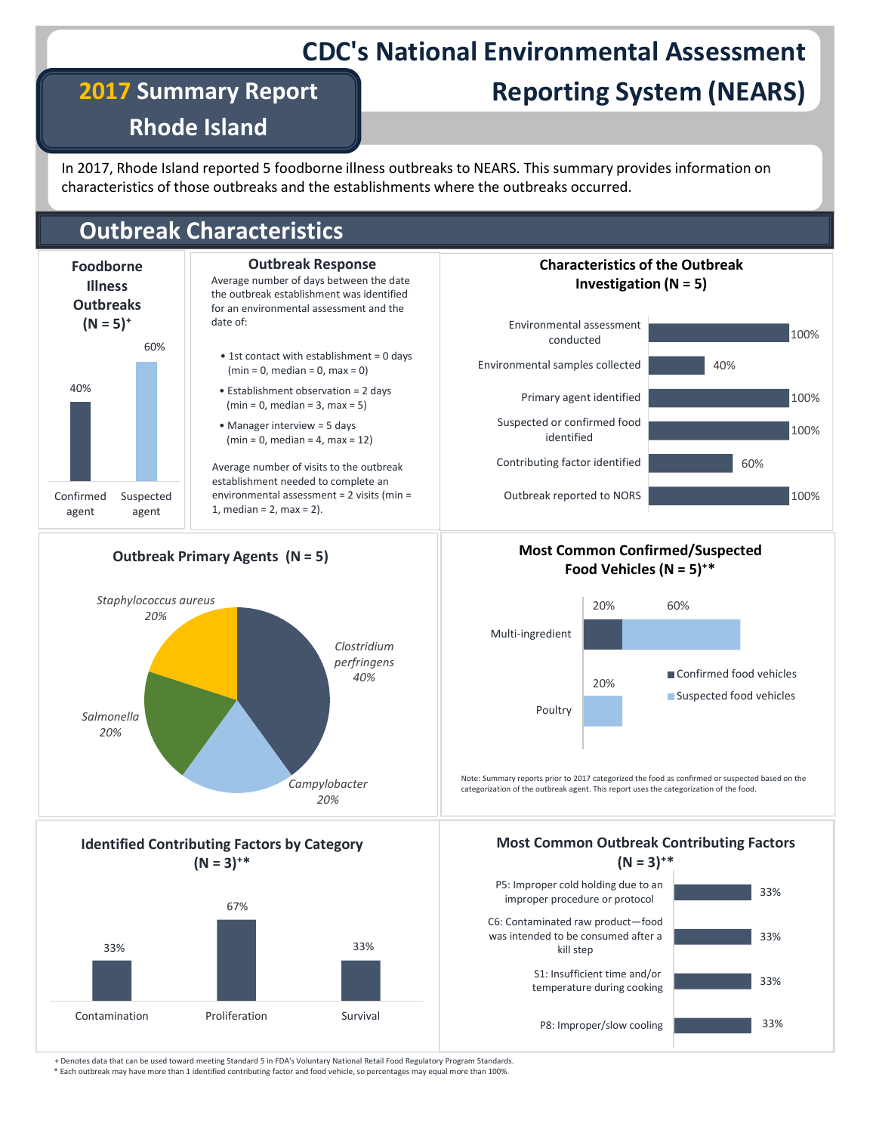# CDC's National Environmental Assessment

## 2017 Summary Report

# Reporting System (NEARS)

Rhode Island

In 2017, Rhode Island reported 5 foodborne illness outbreaks to NEARS. This summary provides information on characteristics of those outbreaks and the establishments where the outbreaks occurred.

## Outbreak Characteristics



#### Average number of days between the date the outbreak establishment was identified for an environmental assessment and the date of: Outbreak Response

- $\begin{array}{c|c}\n60\% & \bullet \end{array}$  1st contact with establishment = 0 days  $(min = 0, median = 0, max = 0)$
- Establishment observation = 2 days 40%  $(min = 0, median = 3, max = 5)$ 
	- Manager interview = 5 days  $(min = 0, median = 4, max = 12)$

Average number of visits to the outbreak establishment needed to complete an Confirmed Suspected | environmental assessment = 2 visits (min = | Cu  $\alpha$  agent  $\begin{vmatrix} 1, \text{ median} = 2, \text{max} = 2. \end{vmatrix}$ .





#### Most Common Confirmed/Suspected Food Vehicles (N =  $5$ )<sup>+\*</sup>



Note: Summary reports prior to 2017 categorized the food as confirmed or suspected based on the<br>Campylobacter extension of the surface of the surface of the food categorization of the outbreak agent. This report uses the categorization of the food.

### Most Common Outbreak Contributing Factors



Outbreak Primary Agents (N = 5)





\* Each outbreak may have more than 1 identified contributing factor and food vehicle, so percentages may equal more than 100%.